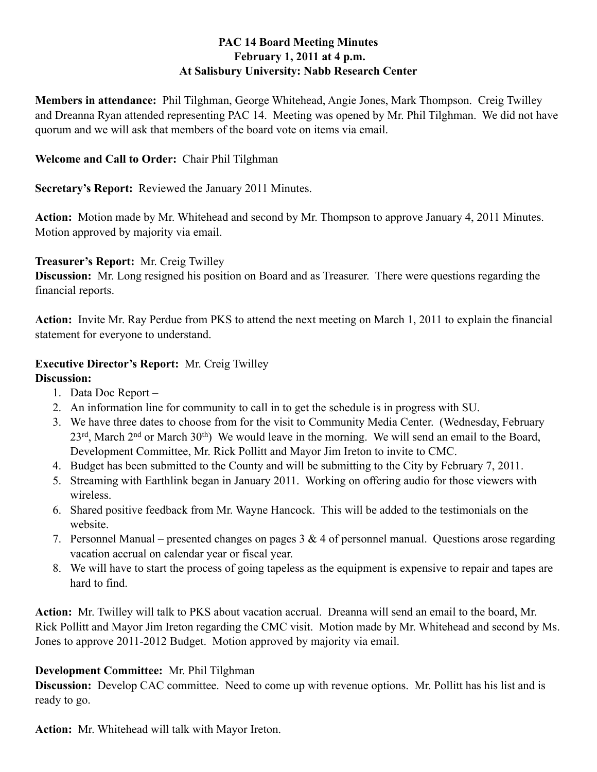# **PAC 14 Board Meeting Minutes February 1, 2011 at 4 p.m. At Salisbury University: Nabb Research Center**

**Members in attendance:** Phil Tilghman, George Whitehead, Angie Jones, Mark Thompson. Creig Twilley and Dreanna Ryan attended representing PAC 14. Meeting was opened by Mr. Phil Tilghman. We did not have quorum and we will ask that members of the board vote on items via email.

## **Welcome and Call to Order:** Chair Phil Tilghman

**Secretary's Report:** Reviewed the January 2011 Minutes.

**Action:** Motion made by Mr. Whitehead and second by Mr. Thompson to approve January 4, 2011 Minutes. Motion approved by majority via email.

## **Treasurer's Report:** Mr. Creig Twilley

**Discussion:** Mr. Long resigned his position on Board and as Treasurer. There were questions regarding the financial reports.

**Action:** Invite Mr. Ray Perdue from PKS to attend the next meeting on March 1, 2011 to explain the financial statement for everyone to understand.

#### **Executive Director's Report:** Mr. Creig Twilley **Discussion:**

- 1. Data Doc Report –
- 2. An information line for community to call in to get the schedule is in progress with SU.
- 3. We have three dates to choose from for the visit to Community Media Center. (Wednesday, February 23<sup>rd</sup>, March 2<sup>nd</sup> or March 30<sup>th</sup>) We would leave in the morning. We will send an email to the Board, Development Committee, Mr. Rick Pollitt and Mayor Jim Ireton to invite to CMC.
- 4. Budget has been submitted to the County and will be submitting to the City by February 7, 2011.
- 5. Streaming with Earthlink began in January 2011. Working on offering audio for those viewers with wireless.
- 6. Shared positive feedback from Mr. Wayne Hancock. This will be added to the testimonials on the website.
- 7. Personnel Manual presented changes on pages 3 & 4 of personnel manual. Questions arose regarding vacation accrual on calendar year or fiscal year.
- 8. We will have to start the process of going tapeless as the equipment is expensive to repair and tapes are hard to find.

**Action:** Mr. Twilley will talk to PKS about vacation accrual. Dreanna will send an email to the board, Mr. Rick Pollitt and Mayor Jim Ireton regarding the CMC visit. Motion made by Mr. Whitehead and second by Ms. Jones to approve 2011-2012 Budget. Motion approved by majority via email.

# **Development Committee:** Mr. Phil Tilghman

**Discussion:** Develop CAC committee. Need to come up with revenue options. Mr. Pollitt has his list and is ready to go.

**Action:** Mr. Whitehead will talk with Mayor Ireton.